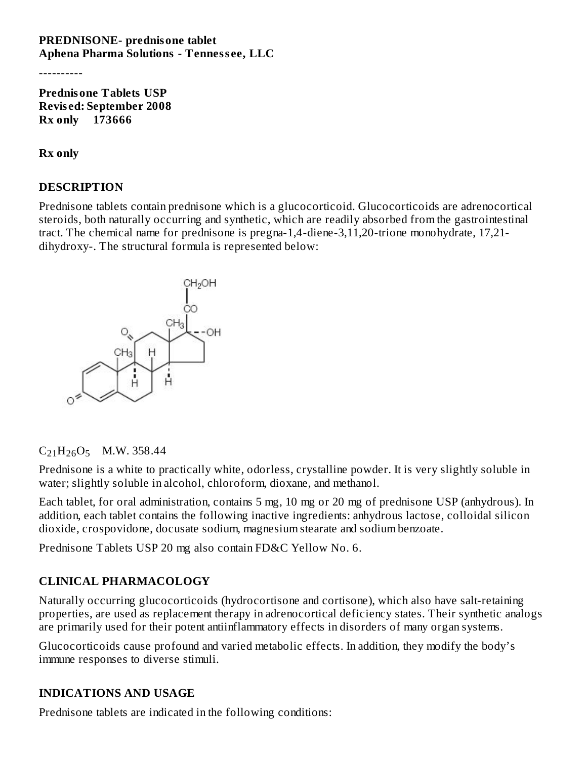#### **PREDNISONE- prednisone tablet Aphena Pharma Solutions - Tenness ee, LLC**

----------

**Prednisone Tablets USP Revis ed: September 2008 Rx only 173666**

**Rx only**

#### **DESCRIPTION**

Prednisone tablets contain prednisone which is a glucocorticoid. Glucocorticoids are adrenocortical steroids, both naturally occurring and synthetic, which are readily absorbed from the gastrointestinal tract. The chemical name for prednisone is pregna-1,4-diene-3,11,20-trione monohydrate, 17,21 dihydroxy-. The structural formula is represented below:



# $C_{21}H_{26}O_5$  M.W. 358.44

Prednisone is a white to practically white, odorless, crystalline powder. It is very slightly soluble in water; slightly soluble in alcohol, chloroform, dioxane, and methanol.

Each tablet, for oral administration, contains 5 mg, 10 mg or 20 mg of prednisone USP (anhydrous). In addition, each tablet contains the following inactive ingredients: anhydrous lactose, colloidal silicon dioxide, crospovidone, docusate sodium, magnesium stearate and sodium benzoate.

Prednisone Tablets USP 20 mg also contain FD&C Yellow No. 6.

#### **CLINICAL PHARMACOLOGY**

Naturally occurring glucocorticoids (hydrocortisone and cortisone), which also have salt-retaining properties, are used as replacement therapy in adrenocortical deficiency states. Their synthetic analogs are primarily used for their potent antiinflammatory effects in disorders of many organ systems.

Glucocorticoids cause profound and varied metabolic effects. In addition, they modify the body's immune responses to diverse stimuli.

#### **INDICATIONS AND USAGE**

Prednisone tablets are indicated in the following conditions: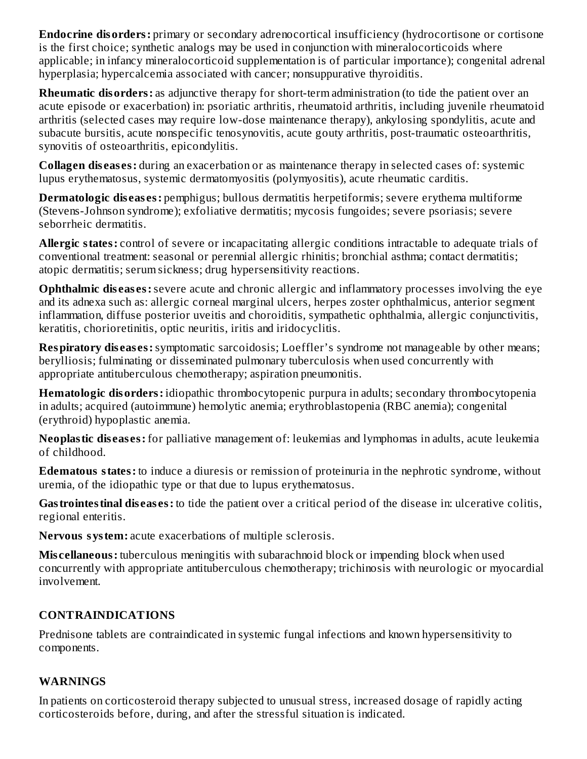**Endocrine disorders:** primary or secondary adrenocortical insufficiency (hydrocortisone or cortisone is the first choice; synthetic analogs may be used in conjunction with mineralocorticoids where applicable; in infancy mineralocorticoid supplementation is of particular importance); congenital adrenal hyperplasia; hypercalcemia associated with cancer; nonsuppurative thyroiditis.

**Rheumatic disorders:** as adjunctive therapy for short-term administration (to tide the patient over an acute episode or exacerbation) in: psoriatic arthritis, rheumatoid arthritis, including juvenile rheumatoid arthritis (selected cases may require low-dose maintenance therapy), ankylosing spondylitis, acute and subacute bursitis, acute nonspecific tenosynovitis, acute gouty arthritis, post-traumatic osteoarthritis, synovitis of osteoarthritis, epicondylitis.

**Collagen dis eas es:** during an exacerbation or as maintenance therapy in selected cases of: systemic lupus erythematosus, systemic dermatomyositis (polymyositis), acute rheumatic carditis.

**Dermatologic dis eas es:** pemphigus; bullous dermatitis herpetiformis; severe erythema multiforme (Stevens-Johnson syndrome); exfoliative dermatitis; mycosis fungoides; severe psoriasis; severe seborrheic dermatitis.

**Allergic states:** control of severe or incapacitating allergic conditions intractable to adequate trials of conventional treatment: seasonal or perennial allergic rhinitis; bronchial asthma; contact dermatitis; atopic dermatitis; serum sickness; drug hypersensitivity reactions.

**Ophthalmic dis eas es:**severe acute and chronic allergic and inflammatory processes involving the eye and its adnexa such as: allergic corneal marginal ulcers, herpes zoster ophthalmicus, anterior segment inflammation, diffuse posterior uveitis and choroiditis, sympathetic ophthalmia, allergic conjunctivitis, keratitis, chorioretinitis, optic neuritis, iritis and iridocyclitis.

**Respiratory dis eas es:**symptomatic sarcoidosis; Loeffler's syndrome not manageable by other means; berylliosis; fulminating or disseminated pulmonary tuberculosis when used concurrently with appropriate antituberculous chemotherapy; aspiration pneumonitis.

**Hematologic disorders:** idiopathic thrombocytopenic purpura in adults; secondary thrombocytopenia in adults; acquired (autoimmune) hemolytic anemia; erythroblastopenia (RBC anemia); congenital (erythroid) hypoplastic anemia.

**Neoplastic dis eas es:** for palliative management of: leukemias and lymphomas in adults, acute leukemia of childhood.

**Edematous states:** to induce a diuresis or remission of proteinuria in the nephrotic syndrome, without uremia, of the idiopathic type or that due to lupus erythematosus.

**Gastrointestinal dis eas es:** to tide the patient over a critical period of the disease in: ulcerative colitis, regional enteritis.

**Nervous system:** acute exacerbations of multiple sclerosis.

**Mis cellaneous:** tuberculous meningitis with subarachnoid block or impending block when used concurrently with appropriate antituberculous chemotherapy; trichinosis with neurologic or myocardial involvement.

## **CONTRAINDICATIONS**

Prednisone tablets are contraindicated in systemic fungal infections and known hypersensitivity to components.

## **WARNINGS**

In patients on corticosteroid therapy subjected to unusual stress, increased dosage of rapidly acting corticosteroids before, during, and after the stressful situation is indicated.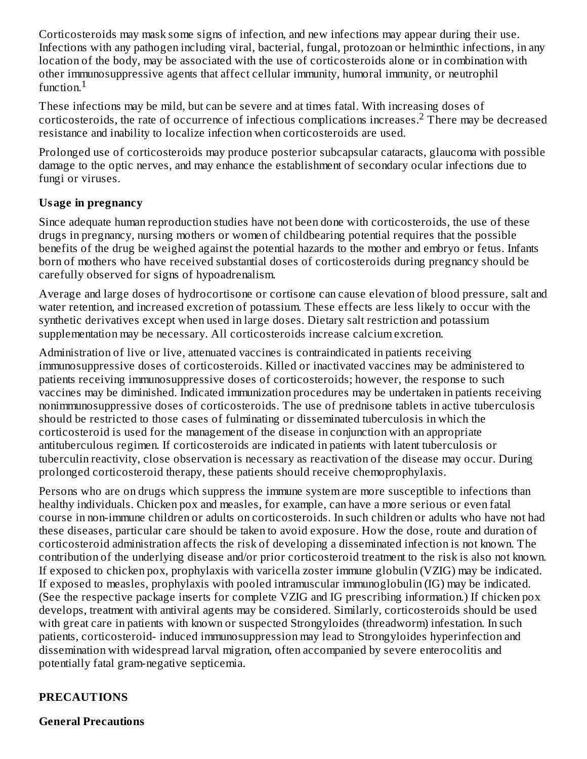Corticosteroids may mask some signs of infection, and new infections may appear during their use. Infections with any pathogen including viral, bacterial, fungal, protozoan or helminthic infections, in any location of the body, may be associated with the use of corticosteroids alone or in combination with other immunosuppressive agents that affect cellular immunity, humoral immunity, or neutrophil function. $^1$ 

These infections may be mild, but can be severe and at times fatal. With increasing doses of corticosteroids, the rate of occurrence of infectious complications increases.<sup>2</sup> There may be decreased resistance and inability to localize infection when corticosteroids are used.

Prolonged use of corticosteroids may produce posterior subcapsular cataracts, glaucoma with possible damage to the optic nerves, and may enhance the establishment of secondary ocular infections due to fungi or viruses.

#### **Usage in pregnancy**

Since adequate human reproduction studies have not been done with corticosteroids, the use of these drugs in pregnancy, nursing mothers or women of childbearing potential requires that the possible benefits of the drug be weighed against the potential hazards to the mother and embryo or fetus. Infants born of mothers who have received substantial doses of corticosteroids during pregnancy should be carefully observed for signs of hypoadrenalism.

Average and large doses of hydrocortisone or cortisone can cause elevation of blood pressure, salt and water retention, and increased excretion of potassium. These effects are less likely to occur with the synthetic derivatives except when used in large doses. Dietary salt restriction and potassium supplementation may be necessary. All corticosteroids increase calcium excretion.

Administration of live or live, attenuated vaccines is contraindicated in patients receiving immunosuppressive doses of corticosteroids. Killed or inactivated vaccines may be administered to patients receiving immunosuppressive doses of corticosteroids; however, the response to such vaccines may be diminished. Indicated immunization procedures may be undertaken in patients receiving nonimmunosuppressive doses of corticosteroids. The use of prednisone tablets in active tuberculosis should be restricted to those cases of fulminating or disseminated tuberculosis in which the corticosteroid is used for the management of the disease in conjunction with an appropriate antituberculous regimen. If corticosteroids are indicated in patients with latent tuberculosis or tuberculin reactivity, close observation is necessary as reactivation of the disease may occur. During prolonged corticosteroid therapy, these patients should receive chemoprophylaxis.

Persons who are on drugs which suppress the immune system are more susceptible to infections than healthy individuals. Chicken pox and measles, for example, can have a more serious or even fatal course in non-immune children or adults on corticosteroids. In such children or adults who have not had these diseases, particular care should be taken to avoid exposure. How the dose, route and duration of corticosteroid administration affects the risk of developing a disseminated infection is not known. The contribution of the underlying disease and/or prior corticosteroid treatment to the risk is also not known. If exposed to chicken pox, prophylaxis with varicella zoster immune globulin (VZIG) may be indicated. If exposed to measles, prophylaxis with pooled intramuscular immunoglobulin (IG) may be indicated. (See the respective package inserts for complete VZIG and IG prescribing information.) If chicken pox develops, treatment with antiviral agents may be considered. Similarly, corticosteroids should be used with great care in patients with known or suspected Strongyloides (threadworm) infestation. In such patients, corticosteroid- induced immunosuppression may lead to Strongyloides hyperinfection and dissemination with widespread larval migration, often accompanied by severe enterocolitis and potentially fatal gram-negative septicemia.

#### **PRECAUTIONS**

#### **General Precautions**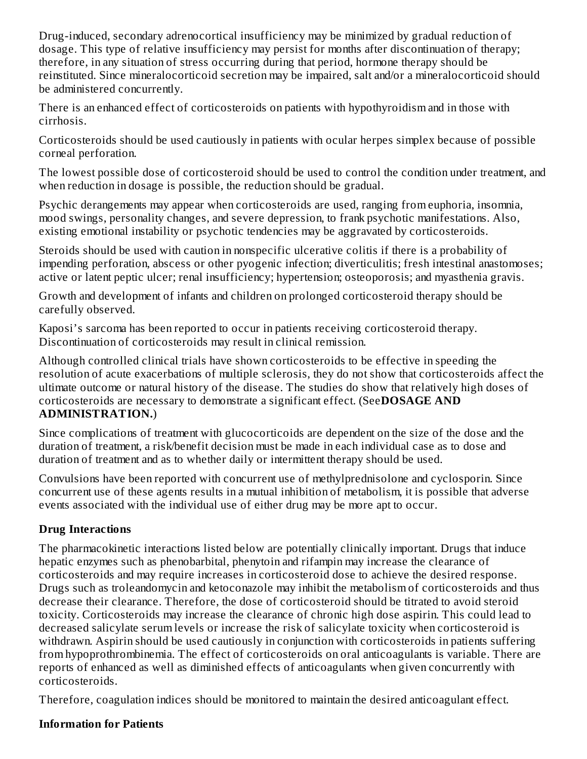Drug-induced, secondary adrenocortical insufficiency may be minimized by gradual reduction of dosage. This type of relative insufficiency may persist for months after discontinuation of therapy; therefore, in any situation of stress occurring during that period, hormone therapy should be reinstituted. Since mineralocorticoid secretion may be impaired, salt and/or a mineralocorticoid should be administered concurrently.

There is an enhanced effect of corticosteroids on patients with hypothyroidism and in those with cirrhosis.

Corticosteroids should be used cautiously in patients with ocular herpes simplex because of possible corneal perforation.

The lowest possible dose of corticosteroid should be used to control the condition under treatment, and when reduction in dosage is possible, the reduction should be gradual.

Psychic derangements may appear when corticosteroids are used, ranging from euphoria, insomnia, mood swings, personality changes, and severe depression, to frank psychotic manifestations. Also, existing emotional instability or psychotic tendencies may be aggravated by corticosteroids.

Steroids should be used with caution in nonspecific ulcerative colitis if there is a probability of impending perforation, abscess or other pyogenic infection; diverticulitis; fresh intestinal anastomoses; active or latent peptic ulcer; renal insufficiency; hypertension; osteoporosis; and myasthenia gravis.

Growth and development of infants and children on prolonged corticosteroid therapy should be carefully observed.

Kaposi's sarcoma has been reported to occur in patients receiving corticosteroid therapy. Discontinuation of corticosteroids may result in clinical remission.

Although controlled clinical trials have shown corticosteroids to be effective in speeding the resolution of acute exacerbations of multiple sclerosis, they do not show that corticosteroids affect the ultimate outcome or natural history of the disease. The studies do show that relatively high doses of corticosteroids are necessary to demonstrate a significant effect. (See**DOSAGE AND ADMINISTRATION.**)

Since complications of treatment with glucocorticoids are dependent on the size of the dose and the duration of treatment, a risk/benefit decision must be made in each individual case as to dose and duration of treatment and as to whether daily or intermittent therapy should be used.

Convulsions have been reported with concurrent use of methylprednisolone and cyclosporin. Since concurrent use of these agents results in a mutual inhibition of metabolism, it is possible that adverse events associated with the individual use of either drug may be more apt to occur.

## **Drug Interactions**

The pharmacokinetic interactions listed below are potentially clinically important. Drugs that induce hepatic enzymes such as phenobarbital, phenytoin and rifampin may increase the clearance of corticosteroids and may require increases in corticosteroid dose to achieve the desired response. Drugs such as troleandomycin and ketoconazole may inhibit the metabolism of corticosteroids and thus decrease their clearance. Therefore, the dose of corticosteroid should be titrated to avoid steroid toxicity. Corticosteroids may increase the clearance of chronic high dose aspirin. This could lead to decreased salicylate serum levels or increase the risk of salicylate toxicity when corticosteroid is withdrawn. Aspirin should be used cautiously in conjunction with corticosteroids in patients suffering from hypoprothrombinemia. The effect of corticosteroids on oral anticoagulants is variable. There are reports of enhanced as well as diminished effects of anticoagulants when given concurrently with corticosteroids.

Therefore, coagulation indices should be monitored to maintain the desired anticoagulant effect.

#### **Information for Patients**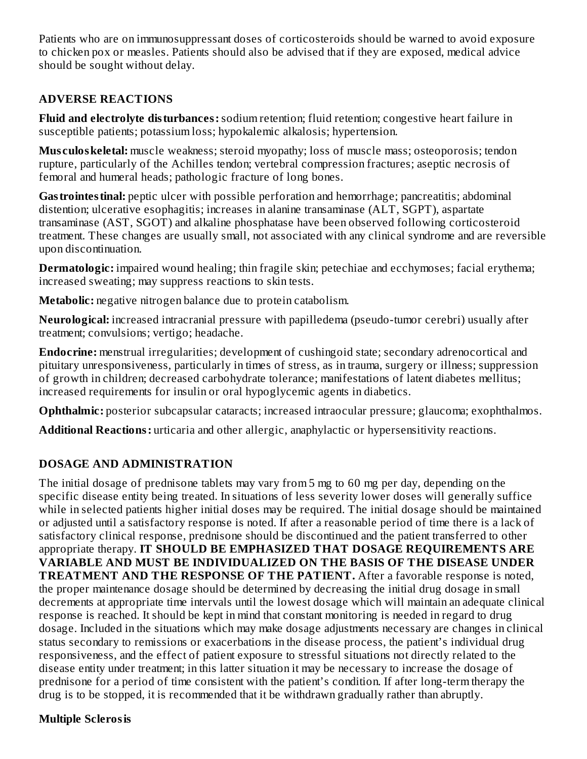Patients who are on immunosuppressant doses of corticosteroids should be warned to avoid exposure to chicken pox or measles. Patients should also be advised that if they are exposed, medical advice should be sought without delay.

## **ADVERSE REACTIONS**

**Fluid and electrolyte disturbances:**sodium retention; fluid retention; congestive heart failure in susceptible patients; potassium loss; hypokalemic alkalosis; hypertension.

**Mus culoskeletal:** muscle weakness; steroid myopathy; loss of muscle mass; osteoporosis; tendon rupture, particularly of the Achilles tendon; vertebral compression fractures; aseptic necrosis of femoral and humeral heads; pathologic fracture of long bones.

Gastrointestinal: peptic ulcer with possible perforation and hemorrhage; pancreatitis; abdominal distention; ulcerative esophagitis; increases in alanine transaminase (ALT, SGPT), aspartate transaminase (AST, SGOT) and alkaline phosphatase have been observed following corticosteroid treatment. These changes are usually small, not associated with any clinical syndrome and are reversible upon discontinuation.

**Dermatologic:** impaired wound healing; thin fragile skin; petechiae and ecchymoses; facial erythema; increased sweating; may suppress reactions to skin tests.

**Metabolic:** negative nitrogen balance due to protein catabolism.

**Neurological:** increased intracranial pressure with papilledema (pseudo-tumor cerebri) usually after treatment; convulsions; vertigo; headache.

**Endocrine:** menstrual irregularities; development of cushingoid state; secondary adrenocortical and pituitary unresponsiveness, particularly in times of stress, as in trauma, surgery or illness; suppression of growth in children; decreased carbohydrate tolerance; manifestations of latent diabetes mellitus; increased requirements for insulin or oral hypoglycemic agents in diabetics.

**Ophthalmic:** posterior subcapsular cataracts; increased intraocular pressure; glaucoma; exophthalmos.

**Additional Reactions:** urticaria and other allergic, anaphylactic or hypersensitivity reactions.

## **DOSAGE AND ADMINISTRATION**

The initial dosage of prednisone tablets may vary from 5 mg to 60 mg per day, depending on the specific disease entity being treated. In situations of less severity lower doses will generally suffice while in selected patients higher initial doses may be required. The initial dosage should be maintained or adjusted until a satisfactory response is noted. If after a reasonable period of time there is a lack of satisfactory clinical response, prednisone should be discontinued and the patient transferred to other appropriate therapy. **IT SHOULD BE EMPHASIZED THAT DOSAGE REQUIREMENTS ARE VARIABLE AND MUST BE INDIVIDUALIZED ON THE BASIS OF THE DISEASE UNDER TREATMENT AND THE RESPONSE OF THE PATIENT.** After a favorable response is noted, the proper maintenance dosage should be determined by decreasing the initial drug dosage in small decrements at appropriate time intervals until the lowest dosage which will maintain an adequate clinical response is reached. It should be kept in mind that constant monitoring is needed in regard to drug dosage. Included in the situations which may make dosage adjustments necessary are changes in clinical status secondary to remissions or exacerbations in the disease process, the patient's individual drug responsiveness, and the effect of patient exposure to stressful situations not directly related to the disease entity under treatment; in this latter situation it may be necessary to increase the dosage of prednisone for a period of time consistent with the patient's condition. If after long-term therapy the drug is to be stopped, it is recommended that it be withdrawn gradually rather than abruptly.

#### **Multiple Sclerosis**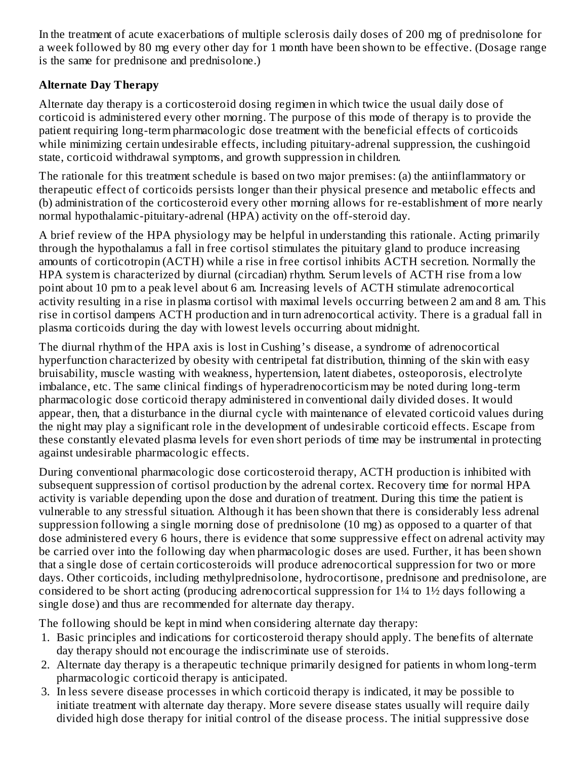In the treatment of acute exacerbations of multiple sclerosis daily doses of 200 mg of prednisolone for a week followed by 80 mg every other day for 1 month have been shown to be effective. (Dosage range is the same for prednisone and prednisolone.)

## **Alternate Day Therapy**

Alternate day therapy is a corticosteroid dosing regimen in which twice the usual daily dose of corticoid is administered every other morning. The purpose of this mode of therapy is to provide the patient requiring long-term pharmacologic dose treatment with the beneficial effects of corticoids while minimizing certain undesirable effects, including pituitary-adrenal suppression, the cushingoid state, corticoid withdrawal symptoms, and growth suppression in children.

The rationale for this treatment schedule is based on two major premises: (a) the antiinflammatory or therapeutic effect of corticoids persists longer than their physical presence and metabolic effects and (b) administration of the corticosteroid every other morning allows for re-establishment of more nearly normal hypothalamic-pituitary-adrenal (HPA) activity on the off-steroid day.

A brief review of the HPA physiology may be helpful in understanding this rationale. Acting primarily through the hypothalamus a fall in free cortisol stimulates the pituitary gland to produce increasing amounts of corticotropin (ACTH) while a rise in free cortisol inhibits ACTH secretion. Normally the HPA system is characterized by diurnal (circadian) rhythm. Serum levels of ACTH rise from a low point about 10 pm to a peak level about 6 am. Increasing levels of ACTH stimulate adrenocortical activity resulting in a rise in plasma cortisol with maximal levels occurring between 2 am and 8 am. This rise in cortisol dampens ACTH production and in turn adrenocortical activity. There is a gradual fall in plasma corticoids during the day with lowest levels occurring about midnight.

The diurnal rhythm of the HPA axis is lost in Cushing's disease, a syndrome of adrenocortical hyperfunction characterized by obesity with centripetal fat distribution, thinning of the skin with easy bruisability, muscle wasting with weakness, hypertension, latent diabetes, osteoporosis, electrolyte imbalance, etc. The same clinical findings of hyperadrenocorticism may be noted during long-term pharmacologic dose corticoid therapy administered in conventional daily divided doses. It would appear, then, that a disturbance in the diurnal cycle with maintenance of elevated corticoid values during the night may play a significant role in the development of undesirable corticoid effects. Escape from these constantly elevated plasma levels for even short periods of time may be instrumental in protecting against undesirable pharmacologic effects.

During conventional pharmacologic dose corticosteroid therapy, ACTH production is inhibited with subsequent suppression of cortisol production by the adrenal cortex. Recovery time for normal HPA activity is variable depending upon the dose and duration of treatment. During this time the patient is vulnerable to any stressful situation. Although it has been shown that there is considerably less adrenal suppression following a single morning dose of prednisolone (10 mg) as opposed to a quarter of that dose administered every 6 hours, there is evidence that some suppressive effect on adrenal activity may be carried over into the following day when pharmacologic doses are used. Further, it has been shown that a single dose of certain corticosteroids will produce adrenocortical suppression for two or more days. Other corticoids, including methylprednisolone, hydrocortisone, prednisone and prednisolone, are considered to be short acting (producing adrenocortical suppression for 1¼ to 1½ days following a single dose) and thus are recommended for alternate day therapy.

The following should be kept in mind when considering alternate day therapy:

- 1. Basic principles and indications for corticosteroid therapy should apply. The benefits of alternate day therapy should not encourage the indiscriminate use of steroids.
- 2. Alternate day therapy is a therapeutic technique primarily designed for patients in whom long-term pharmacologic corticoid therapy is anticipated.
- 3. In less severe disease processes in which corticoid therapy is indicated, it may be possible to initiate treatment with alternate day therapy. More severe disease states usually will require daily divided high dose therapy for initial control of the disease process. The initial suppressive dose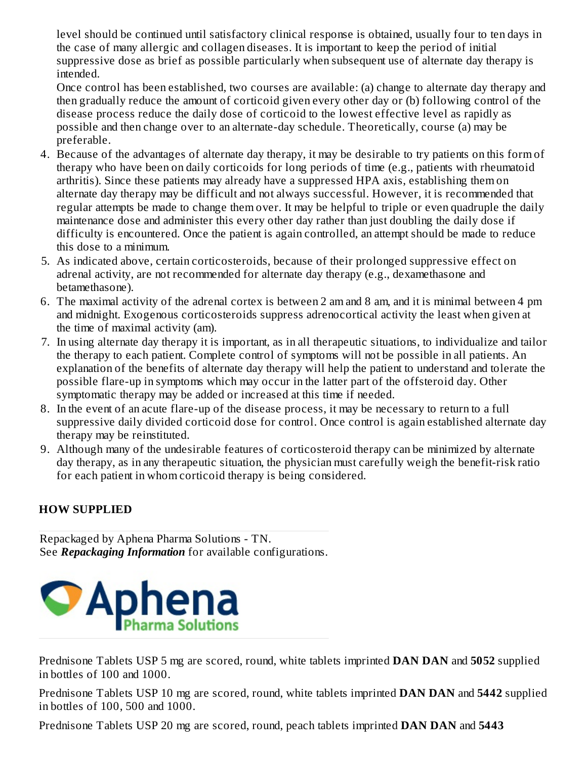level should be continued until satisfactory clinical response is obtained, usually four to ten days in the case of many allergic and collagen diseases. It is important to keep the period of initial suppressive dose as brief as possible particularly when subsequent use of alternate day therapy is intended.

Once control has been established, two courses are available: (a) change to alternate day therapy and then gradually reduce the amount of corticoid given every other day or (b) following control of the disease process reduce the daily dose of corticoid to the lowest effective level as rapidly as possible and then change over to an alternate-day schedule. Theoretically, course (a) may be preferable.

- 4. Because of the advantages of alternate day therapy, it may be desirable to try patients on this form of therapy who have been on daily corticoids for long periods of time (e.g., patients with rheumatoid arthritis). Since these patients may already have a suppressed HPA axis, establishing them on alternate day therapy may be difficult and not always successful. However, it is recommended that regular attempts be made to change them over. It may be helpful to triple or even quadruple the daily maintenance dose and administer this every other day rather than just doubling the daily dose if difficulty is encountered. Once the patient is again controlled, an attempt should be made to reduce this dose to a minimum.
- 5. As indicated above, certain corticosteroids, because of their prolonged suppressive effect on adrenal activity, are not recommended for alternate day therapy (e.g., dexamethasone and betamethasone).
- 6. The maximal activity of the adrenal cortex is between 2 am and 8 am, and it is minimal between 4 pm and midnight. Exogenous corticosteroids suppress adrenocortical activity the least when given at the time of maximal activity (am).
- 7. In using alternate day therapy it is important, as in all therapeutic situations, to individualize and tailor the therapy to each patient. Complete control of symptoms will not be possible in all patients. An explanation of the benefits of alternate day therapy will help the patient to understand and tolerate the possible flare-up in symptoms which may occur in the latter part of the offsteroid day. Other symptomatic therapy may be added or increased at this time if needed.
- 8. In the event of an acute flare-up of the disease process, it may be necessary to return to a full suppressive daily divided corticoid dose for control. Once control is again established alternate day therapy may be reinstituted.
- 9. Although many of the undesirable features of corticosteroid therapy can be minimized by alternate day therapy, as in any therapeutic situation, the physician must carefully weigh the benefit-risk ratio for each patient in whom corticoid therapy is being considered.

## **HOW SUPPLIED**

Repackaged by Aphena Pharma Solutions - TN. See *Repackaging Information* for available configurations.



Prednisone Tablets USP 5 mg are scored, round, white tablets imprinted **DAN DAN** and **5052** supplied in bottles of 100 and 1000.

Prednisone Tablets USP 10 mg are scored, round, white tablets imprinted **DAN DAN** and **5442** supplied in bottles of 100, 500 and 1000.

Prednisone Tablets USP 20 mg are scored, round, peach tablets imprinted **DAN DAN** and **5443**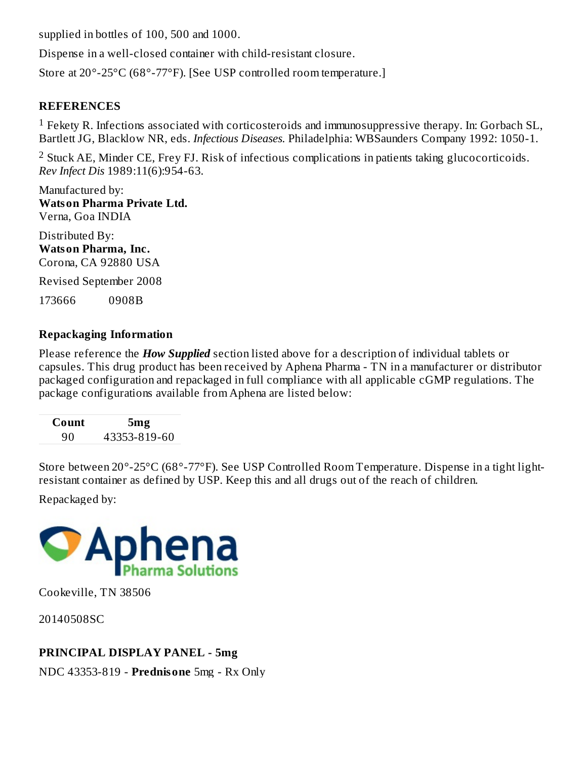supplied in bottles of 100, 500 and 1000.

Dispense in a well-closed container with child-resistant closure.

Store at 20°-25°C (68°-77°F). [See USP controlled room temperature.]

#### **REFERENCES**

 $^1$  Fekety R. Infections associated with corticosteroids and immunosuppressive therapy. In: Gorbach SL, Bartlett JG, Blacklow NR, eds. *Infectious Diseases.* Philadelphia: WBSaunders Company 1992: 1050-1.

 $2$  Stuck AE, Minder CE, Frey FJ. Risk of infectious complications in patients taking glucocorticoids. *Rev Infect Dis* 1989:11(6):954-63.

Manufactured by: **Watson Pharma Private Ltd.** Verna, Goa INDIA

Distributed By: **Watson Pharma, Inc.** Corona, CA 92880 USA

Revised September 2008

173666 0908B

#### **Repackaging Information**

Please reference the *How Supplied* section listed above for a description of individual tablets or capsules. This drug product has been received by Aphena Pharma - TN in a manufacturer or distributor packaged configuration and repackaged in full compliance with all applicable cGMP regulations. The package configurations available from Aphena are listed below:

| Count | 5mg          |
|-------|--------------|
| 90    | 43353-819-60 |

Store between 20°-25°C (68°-77°F). See USP Controlled Room Temperature. Dispense in a tight lightresistant container as defined by USP. Keep this and all drugs out of the reach of children.

Repackaged by:



Cookeville, TN 38506

20140508SC

#### **PRINCIPAL DISPLAY PANEL - 5mg**

NDC 43353-819 - **Prednisone** 5mg - Rx Only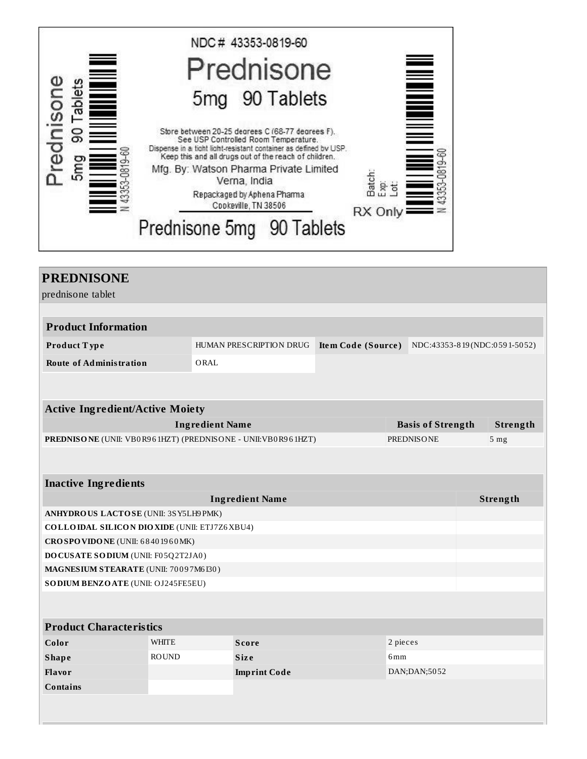

| <b>PREDNISONE</b>                                             |                                       |                         |                                                    |          |                          |                 |  |
|---------------------------------------------------------------|---------------------------------------|-------------------------|----------------------------------------------------|----------|--------------------------|-----------------|--|
| prednisone tablet                                             |                                       |                         |                                                    |          |                          |                 |  |
|                                                               |                                       |                         |                                                    |          |                          |                 |  |
| <b>Product Information</b>                                    |                                       |                         |                                                    |          |                          |                 |  |
| Product Type                                                  |                                       | HUMAN PRESCRIPTION DRUG | Item Code (Source)<br>NDC:43353-819(NDC:0591-5052) |          |                          |                 |  |
| <b>Route of Administration</b>                                | ORAL                                  |                         |                                                    |          |                          |                 |  |
|                                                               |                                       |                         |                                                    |          |                          |                 |  |
|                                                               |                                       |                         |                                                    |          |                          |                 |  |
| <b>Active Ingredient/Active Moiety</b>                        |                                       |                         |                                                    |          |                          |                 |  |
|                                                               | <b>Ingredient Name</b>                |                         |                                                    |          | <b>Basis of Strength</b> | Strength        |  |
| PREDNISONE (UNII: VB0R961HZT) (PREDNISONE - UNII: VB0R961HZT) |                                       |                         |                                                    |          | <b>PREDNISONE</b>        | 5 <sub>mg</sub> |  |
|                                                               |                                       |                         |                                                    |          |                          |                 |  |
| <b>Inactive Ingredients</b>                                   |                                       |                         |                                                    |          |                          |                 |  |
|                                                               | <b>Ingredient Name</b><br>Strength    |                         |                                                    |          |                          |                 |  |
|                                                               | ANHYDROUS LACTOSE (UNII: 3SY5LH9 PMK) |                         |                                                    |          |                          |                 |  |
| <b>COLLOIDAL SILICON DIOXIDE (UNII: ETJ7Z6XBU4)</b>           |                                       |                         |                                                    |          |                          |                 |  |
|                                                               | CROSPOVIDONE (UNII: 68401960MK)       |                         |                                                    |          |                          |                 |  |
| DOCUSATE SODIUM (UNII: F05Q2T2JA0)                            |                                       |                         |                                                    |          |                          |                 |  |
| MAGNESIUM STEARATE (UNII: 70097M6I30)                         |                                       |                         |                                                    |          |                          |                 |  |
| SODIUM BENZOATE (UNII: OJ245FE5EU)                            |                                       |                         |                                                    |          |                          |                 |  |
|                                                               |                                       |                         |                                                    |          |                          |                 |  |
| <b>Product Characteristics</b>                                |                                       |                         |                                                    |          |                          |                 |  |
| Color<br><b>WHITE</b>                                         |                                       | <b>Score</b>            |                                                    | 2 pieces |                          |                 |  |
| <b>ROUND</b><br><b>Shape</b>                                  |                                       | <b>Size</b>             |                                                    | 6mm      |                          |                 |  |
| Flavor                                                        |                                       | <b>Imprint Code</b>     |                                                    |          | DAN; DAN; 5052           |                 |  |
| <b>Contains</b>                                               |                                       |                         |                                                    |          |                          |                 |  |
|                                                               |                                       |                         |                                                    |          |                          |                 |  |